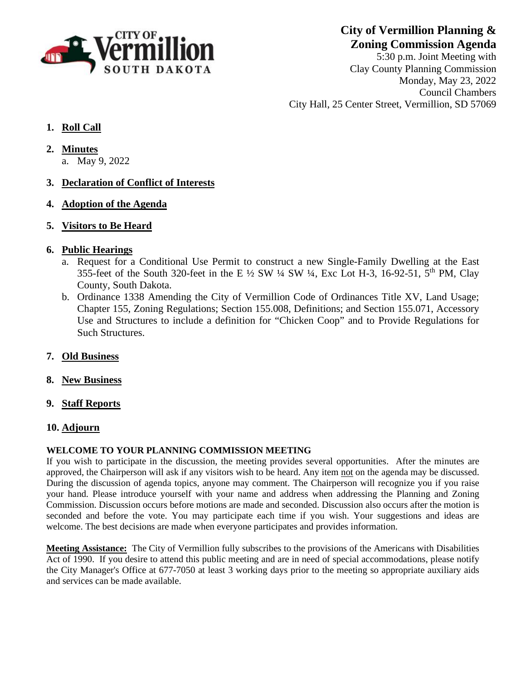

**City of Vermillion Planning & Zoning Commission Agenda**

5:30 p.m. Joint Meeting with Clay County Planning Commission Monday, May 23, 2022 Council Chambers City Hall, 25 Center Street, Vermillion, SD 57069

## **1. Roll Call**

- **2. Minutes**
	- a. May 9, 2022
- **3. Declaration of Conflict of Interests**
- **4. Adoption of the Agenda**
- **5. Visitors to Be Heard**

## **6. Public Hearings**

- a. Request for a Conditional Use Permit to construct a new Single-Family Dwelling at the East 355-feet of the South 320-feet in the E  $\frac{1}{2}$  SW  $\frac{1}{4}$  SW  $\frac{1}{4}$ , Exc Lot H-3, 16-92-51, 5<sup>th</sup> PM, Clay County, South Dakota.
- b. Ordinance 1338 Amending the City of Vermillion Code of Ordinances Title XV, Land Usage; Chapter 155, Zoning Regulations; Section 155.008, Definitions; and Section 155.071, Accessory Use and Structures to include a definition for "Chicken Coop" and to Provide Regulations for Such Structures.
- **7. Old Business**
- **8. New Business**
- **9. Staff Reports**

## **10. Adjourn**

## **WELCOME TO YOUR PLANNING COMMISSION MEETING**

If you wish to participate in the discussion, the meeting provides several opportunities. After the minutes are approved, the Chairperson will ask if any visitors wish to be heard. Any item not on the agenda may be discussed. During the discussion of agenda topics, anyone may comment. The Chairperson will recognize you if you raise your hand. Please introduce yourself with your name and address when addressing the Planning and Zoning Commission. Discussion occurs before motions are made and seconded. Discussion also occurs after the motion is seconded and before the vote. You may participate each time if you wish. Your suggestions and ideas are welcome. The best decisions are made when everyone participates and provides information.

**Meeting Assistance:** The City of Vermillion fully subscribes to the provisions of the Americans with Disabilities Act of 1990. If you desire to attend this public meeting and are in need of special accommodations, please notify the City Manager's Office at 677-7050 at least 3 working days prior to the meeting so appropriate auxiliary aids and services can be made available.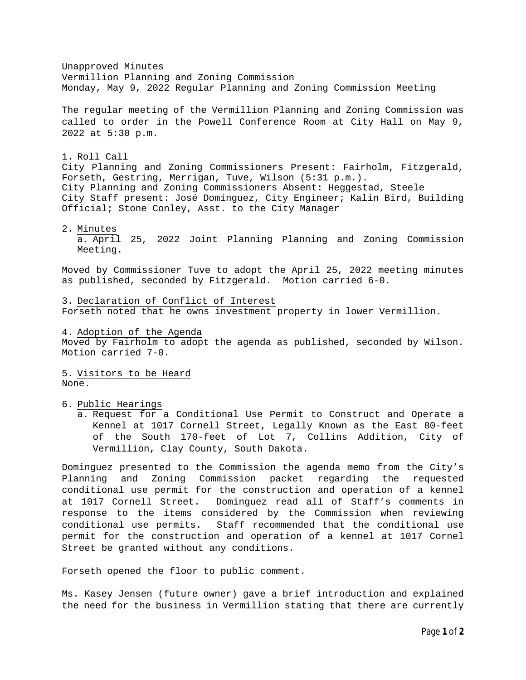Unapproved Minutes Vermillion Planning and Zoning Commission Monday, May 9, 2022 Regular Planning and Zoning Commission Meeting The regular meeting of the Vermillion Planning and Zoning Commission was called to order in the Powell Conference Room at City Hall on May 9, 2022 at 5:30 p.m. 1. Roll Call City Planning and Zoning Commissioners Present: Fairholm, Fitzgerald, Forseth, Gestring, Merrigan, Tuve, Wilson (5:31 p.m.). City Planning and Zoning Commissioners Absent: Heggestad, Steele City Staff present: José Domínguez, City Engineer; Kalin Bird, Building Official; Stone Conley, Asst. to the City Manager 2. Minutes a. April 25, 2022 Joint Planning Planning and Zoning Commission Meeting. Moved by Commissioner Tuve to adopt the April 25, 2022 meeting minutes as published, seconded by Fitzgerald. Motion carried 6-0. 3. Declaration of Conflict of Interest Forseth noted that he owns investment property in lower Vermillion.

4. Adoption of the Agenda Moved by Fairholm to adopt the agenda as published, seconded by Wilson. Motion carried 7-0.

5. Visitors to be Heard None.

6. Public Hearings

a. Request for a Conditional Use Permit to Construct and Operate a Kennel at 1017 Cornell Street, Legally Known as the East 80-feet of the South 170-feet of Lot 7, Collins Addition, City of Vermillion, Clay County, South Dakota.

Dominguez presented to the Commission the agenda memo from the City's Planning and Zoning Commission packet regarding the requested conditional use permit for the construction and operation of a kennel at 1017 Cornell Street. Dominguez read all of Staff's comments in response to the items considered by the Commission when reviewing conditional use permits. Staff recommended that the conditional use permit for the construction and operation of a kennel at 1017 Cornel Street be granted without any conditions.

Forseth opened the floor to public comment.

Ms. Kasey Jensen (future owner) gave a brief introduction and explained the need for the business in Vermillion stating that there are currently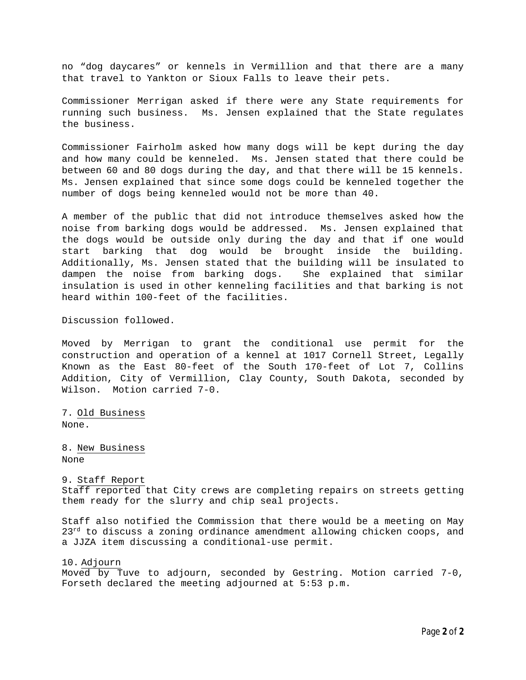no "dog daycares" or kennels in Vermillion and that there are a many that travel to Yankton or Sioux Falls to leave their pets.

Commissioner Merrigan asked if there were any State requirements for running such business. Ms. Jensen explained that the State regulates the business.

Commissioner Fairholm asked how many dogs will be kept during the day and how many could be kenneled. Ms. Jensen stated that there could be between 60 and 80 dogs during the day, and that there will be 15 kennels. Ms. Jensen explained that since some dogs could be kenneled together the number of dogs being kenneled would not be more than 40.

A member of the public that did not introduce themselves asked how the noise from barking dogs would be addressed. Ms. Jensen explained that the dogs would be outside only during the day and that if one would start barking that dog would be brought inside the building. Additionally, Ms. Jensen stated that the building will be insulated to dampen the noise from barking dogs. She explained that similar insulation is used in other kenneling facilities and that barking is not heard within 100-feet of the facilities.

Discussion followed.

Moved by Merrigan to grant the conditional use permit for the construction and operation of a kennel at 1017 Cornell Street, Legally Known as the East 80-feet of the South 170-feet of Lot 7, Collins Addition, City of Vermillion, Clay County, South Dakota, seconded by Wilson. Motion carried 7-0.

7. Old Business None.

8. New Business None

9. Staff Report Staff reported that City crews are completing repairs on streets getting them ready for the slurry and chip seal projects.

Staff also notified the Commission that there would be a meeting on May  $23<sup>rd</sup>$  to discuss a zoning ordinance amendment allowing chicken coops, and a JJZA item discussing a conditional-use permit.

10. Adjourn

Moved by Tuve to adjourn, seconded by Gestring. Motion carried 7-0, Forseth declared the meeting adjourned at 5:53 p.m.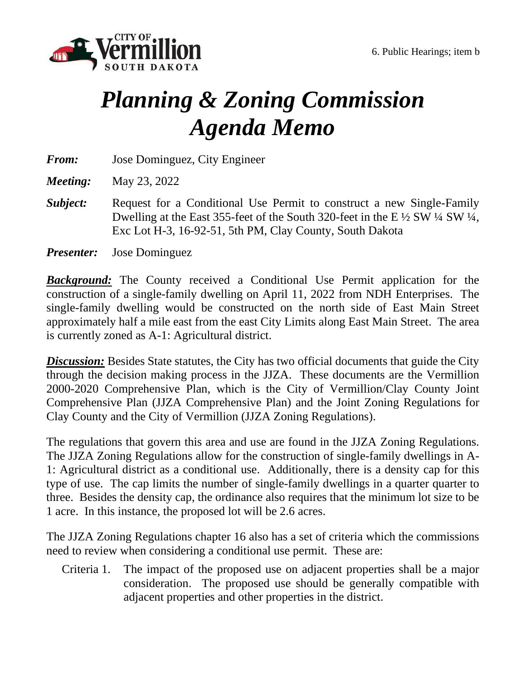

# *Planning & Zoning Commission Agenda Memo*

*From:* Jose Dominguez, City Engineer

*Meeting:* May 23, 2022

- *Subject:* Request for a Conditional Use Permit to construct a new Single-Family Dwelling at the East 355-feet of the South 320-feet in the E  $\frac{1}{2}$  SW  $\frac{1}{4}$  SW  $\frac{1}{4}$ , Exc Lot H-3, 16-92-51, 5th PM, Clay County, South Dakota
- *Presenter:* Jose Dominguez

*Background:* The County received a Conditional Use Permit application for the construction of a single-family dwelling on April 11, 2022 from NDH Enterprises. The single-family dwelling would be constructed on the north side of East Main Street approximately half a mile east from the east City Limits along East Main Street. The area is currently zoned as A-1: Agricultural district.

**Discussion:** Besides State statutes, the City has two official documents that guide the City through the decision making process in the JJZA. These documents are the Vermillion 2000-2020 Comprehensive Plan, which is the City of Vermillion/Clay County Joint Comprehensive Plan (JJZA Comprehensive Plan) and the Joint Zoning Regulations for Clay County and the City of Vermillion (JJZA Zoning Regulations).

The regulations that govern this area and use are found in the JJZA Zoning Regulations. The JJZA Zoning Regulations allow for the construction of single-family dwellings in A-1: Agricultural district as a conditional use. Additionally, there is a density cap for this type of use. The cap limits the number of single-family dwellings in a quarter quarter to three. Besides the density cap, the ordinance also requires that the minimum lot size to be 1 acre. In this instance, the proposed lot will be 2.6 acres.

The JJZA Zoning Regulations chapter 16 also has a set of criteria which the commissions need to review when considering a conditional use permit. These are:

Criteria 1. The impact of the proposed use on adjacent properties shall be a major consideration. The proposed use should be generally compatible with adjacent properties and other properties in the district.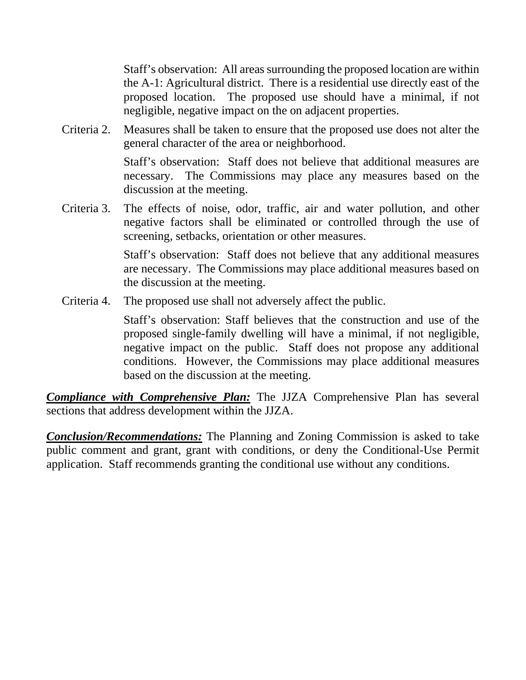Staff's observation: All areas surrounding the proposed location are within the A-1: Agricultural district. There is a residential use directly east of the proposed location. The proposed use should have a minimal, if not negligible, negative impact on the on adjacent properties.

Criteria 2. Measures shall be taken to ensure that the proposed use does not alter the general character of the area or neighborhood.

> Staff's observation: Staff does not believe that additional measures are necessary. The Commissions may place any measures based on the discussion at the meeting.

Criteria 3. The effects of noise, odor, traffic, air and water pollution, and other negative factors shall be eliminated or controlled through the use of screening, setbacks, orientation or other measures.

> Staff's observation: Staff does not believe that any additional measures are necessary. The Commissions may place additional measures based on the discussion at the meeting.

Criteria 4. The proposed use shall not adversely affect the public.

Staff's observation: Staff believes that the construction and use of the proposed single-family dwelling will have a minimal, if not negligible, negative impact on the public. Staff does not propose any additional conditions. However, the Commissions may place additional measures based on the discussion at the meeting.

*Compliance with Comprehensive Plan:* The JJZA Comprehensive Plan has several sections that address development within the JJZA.

*Conclusion/Recommendations:* The Planning and Zoning Commission is asked to take public comment and grant, grant with conditions, or deny the Conditional-Use Permit application. Staff recommends granting the conditional use without any conditions.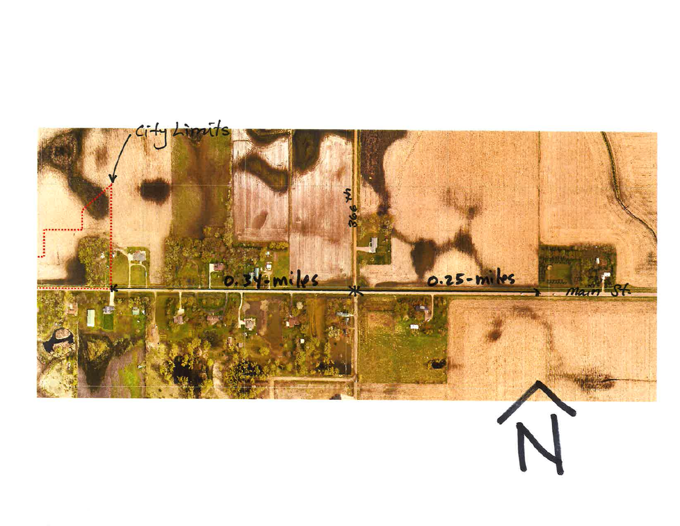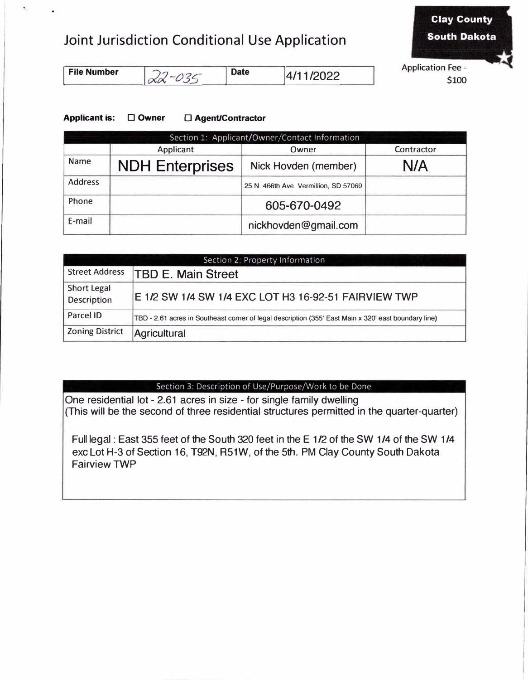## Joint Jurisdiction Conditional Use Application



| <b>File Number</b> |  | <b>Date</b> | 4/11/2022 |
|--------------------|--|-------------|-----------|
|--------------------|--|-------------|-----------|

## **Applicant is:** □ **Owner** □ **Agent/Contractor**

| Section 1: Applicant/Owner/Contact Information |                        |                                      |            |
|------------------------------------------------|------------------------|--------------------------------------|------------|
|                                                | Applicant              | Owner                                | Contractor |
| Name                                           | <b>NDH Enterprises</b> | Nick Hovden (member)                 | N/A        |
| <b>Address</b>                                 |                        | 25 N. 466th Ave Vermillion, SD 57069 |            |
| Phone                                          |                        | 605-670-0492                         |            |
| E-mail                                         |                        | nickhovden@gmail.com                 |            |

| Section 2: Property Information   |                                                                                                      |  |  |
|-----------------------------------|------------------------------------------------------------------------------------------------------|--|--|
| <b>Street Address</b>             | <b>TBD E. Main Street</b>                                                                            |  |  |
| Short Legal<br><b>Description</b> | E 1/2 SW 1/4 SW 1/4 EXC LOT H3 16-92-51 FAIRVIEW TWP                                                 |  |  |
| Parcel ID                         | TBD - 2.61 acres in Southeast corner of legal description (355' East Main x 320' east boundary line) |  |  |
| <b>Zoning District</b>            | Agricultural                                                                                         |  |  |

### Section 3: Description of Use/Purpose/Work to be Done

One residential lot - 2.61 acres in size - for single family dwelling (This will be the second of three residential structures permitted in the quarter-quarter)

Full legal : East 355 feet of the South 320 feet in the E 1/2 of the SW 1/4 of the SW 1/4 exc Lot H-3 of Section 16, T92N, R51W, of the 5th. PM Clay County South Dakota Fairview TWP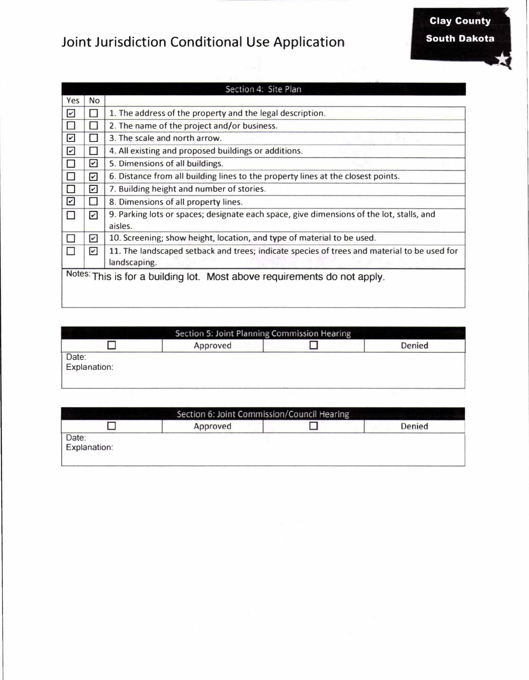## **Joint Jurisdiction Conditional Use Application**



|                       |                                                                          | Section 4: Site Plan                                                                                |  |
|-----------------------|--------------------------------------------------------------------------|-----------------------------------------------------------------------------------------------------|--|
| <b>Yes</b>            | <b>No</b>                                                                |                                                                                                     |  |
| $\omega$              |                                                                          | 1. The address of the property and the legal description.                                           |  |
|                       | ш                                                                        | 2. The name of the project and/or business.                                                         |  |
| $\boxed{\checkmark}$  |                                                                          | 3. The scale and north arrow.                                                                       |  |
| $\boxed{\mathcal{L}}$ | П                                                                        | 4. All existing and proposed buildings or additions.                                                |  |
|                       | ☑                                                                        | 5. Dimensions of all buildings.                                                                     |  |
|                       | ☑                                                                        | 6. Distance from all building lines to the property lines at the closest points.                    |  |
|                       | ☑                                                                        | 7. Building height and number of stories.                                                           |  |
| ☑                     | ш                                                                        | 8. Dimensions of all property lines.                                                                |  |
| П                     | ☑                                                                        | 9. Parking lots or spaces; designate each space, give dimensions of the lot, stalls, and<br>aisles. |  |
| $\mathbf{I}$          | ☑                                                                        | 10. Screening; show height, location, and type of material to be used.                              |  |
| П                     | ☑                                                                        | 11. The landscaped setback and trees; indicate species of trees and material to be used for         |  |
|                       |                                                                          | landscaping.                                                                                        |  |
|                       | Notes: This is for a building lot. Most above requirements do not apply. |                                                                                                     |  |
|                       |                                                                          |                                                                                                     |  |
|                       |                                                                          |                                                                                                     |  |

|                       | Section 5: Joint Planning Commission Hearing |        |
|-----------------------|----------------------------------------------|--------|
|                       | Approved                                     | Denied |
| Date:<br>Explanation: |                                              |        |

|                       | Section 6: Joint Commission/Council Hearing |        |
|-----------------------|---------------------------------------------|--------|
|                       | Approved                                    | Denied |
| Date:<br>Explanation: |                                             |        |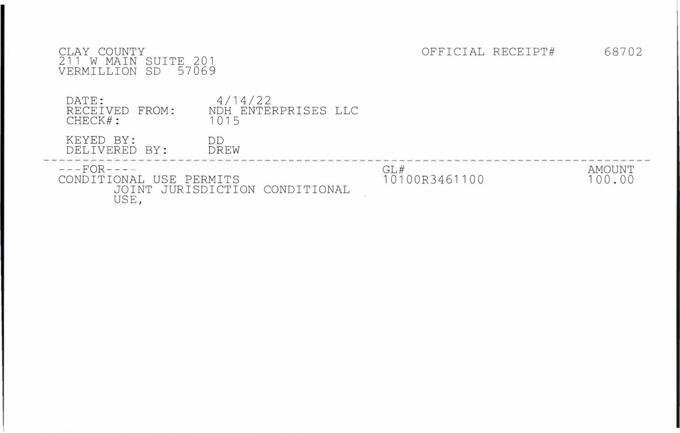| COUNTY<br>AY<br>SUITE 201<br>W MAIN<br>SD<br>VERMILLION<br>57069 |                                        |                      | OFFICIAL RECEIPT# | 68702                   |
|------------------------------------------------------------------|----------------------------------------|----------------------|-------------------|-------------------------|
| DATE:<br>RECEIVED FROM:<br>CHECK#:                               | 4/14/22<br>NDH ENTERPRISES LLC<br>1015 |                      |                   |                         |
| KEYED BY:<br>DELIVERED BY:                                       | DD<br>DREW                             |                      |                   |                         |
| $-- FOR$ - - - -<br>CONDITIONAL USE PERMITS<br>JOINT<br>USE,     | JURISDICTION CONDITIONAL               | GL#<br>10100R3461100 |                   | <b>AMOUNT</b><br>100.00 |

z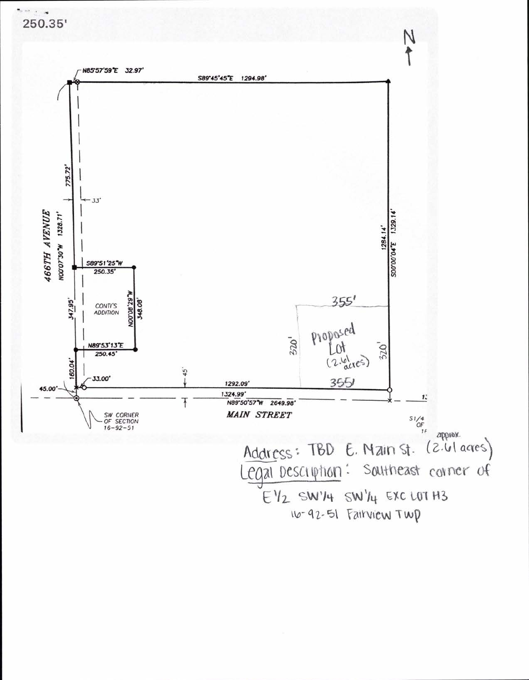## 250.35'

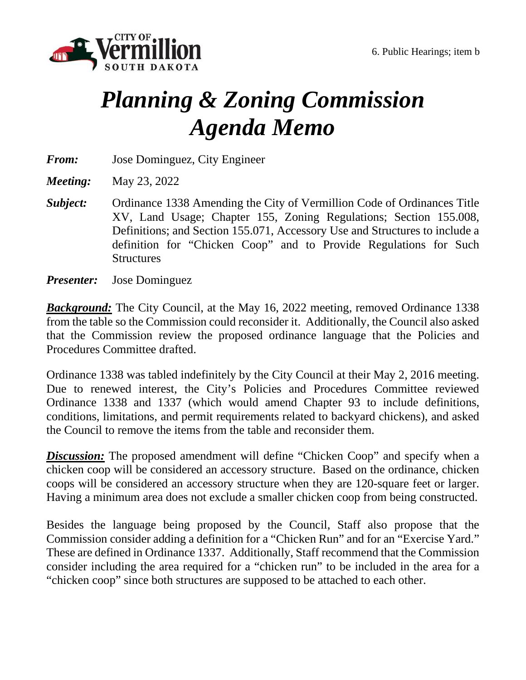

# *Planning & Zoning Commission Agenda Memo*

*From:* Jose Dominguez, City Engineer

*Meeting:* May 23, 2022

*Subject:* Ordinance 1338 Amending the City of Vermillion Code of Ordinances Title XV, Land Usage; Chapter 155, Zoning Regulations; Section 155.008, Definitions; and Section 155.071, Accessory Use and Structures to include a definition for "Chicken Coop" and to Provide Regulations for Such **Structures** 

*Presenter:* Jose Dominguez

*Background:* The City Council, at the May 16, 2022 meeting, removed Ordinance 1338 from the table so the Commission could reconsider it. Additionally, the Council also asked that the Commission review the proposed ordinance language that the Policies and Procedures Committee drafted.

Ordinance 1338 was tabled indefinitely by the City Council at their May 2, 2016 meeting. Due to renewed interest, the City's Policies and Procedures Committee reviewed Ordinance 1338 and 1337 (which would amend Chapter 93 to include definitions, conditions, limitations, and permit requirements related to backyard chickens), and asked the Council to remove the items from the table and reconsider them.

**Discussion:** The proposed amendment will define "Chicken Coop" and specify when a chicken coop will be considered an accessory structure. Based on the ordinance, chicken coops will be considered an accessory structure when they are 120-square feet or larger. Having a minimum area does not exclude a smaller chicken coop from being constructed.

Besides the language being proposed by the Council, Staff also propose that the Commission consider adding a definition for a "Chicken Run" and for an "Exercise Yard." These are defined in Ordinance 1337. Additionally, Staff recommend that the Commission consider including the area required for a "chicken run" to be included in the area for a "chicken coop" since both structures are supposed to be attached to each other.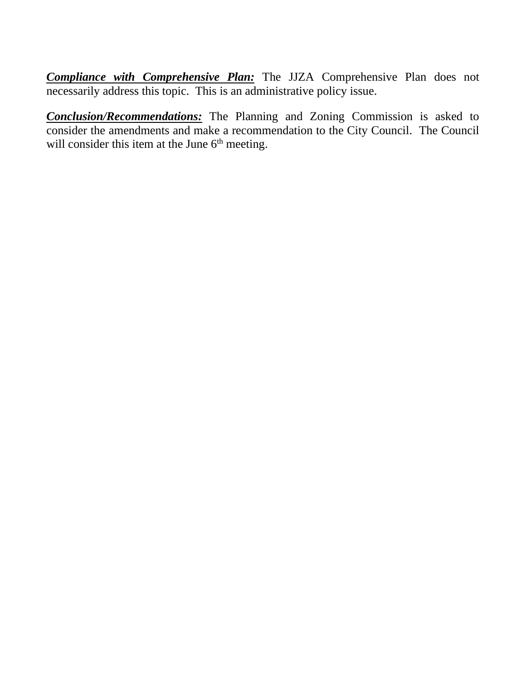*Compliance with Comprehensive Plan:* The JJZA Comprehensive Plan does not necessarily address this topic. This is an administrative policy issue.

*Conclusion/Recommendations:* The Planning and Zoning Commission is asked to consider the amendments and make a recommendation to the City Council. The Council will consider this item at the June  $6<sup>th</sup>$  meeting.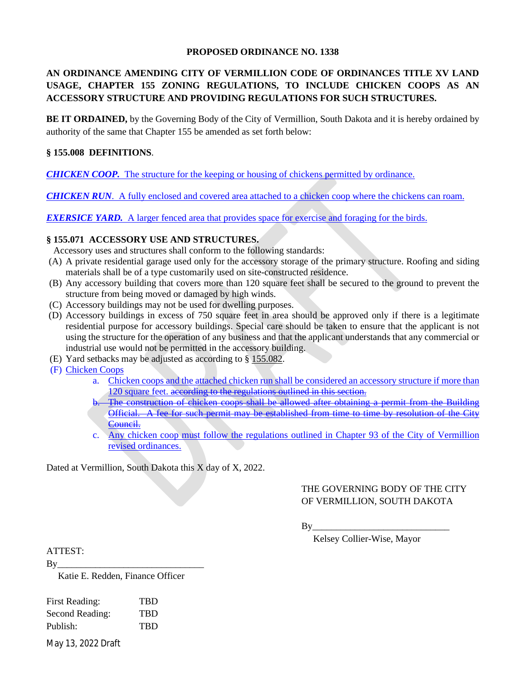#### **PROPOSED ORDINANCE NO. 1338**

## **AN ORDINANCE AMENDING CITY OF VERMILLION CODE OF ORDINANCES TITLE XV LAND USAGE, CHAPTER 155 ZONING REGULATIONS, TO INCLUDE CHICKEN COOPS AS AN ACCESSORY STRUCTURE AND PROVIDING REGULATIONS FOR SUCH STRUCTURES.**

**BE IT ORDAINED,** by the Governing Body of the City of Vermillion, South Dakota and it is hereby ordained by authority of the same that Chapter 155 be amended as set forth below:

#### **§ 155.008 DEFINITIONS**.

*CHICKEN COOP.* The structure for the keeping or housing of chickens permitted by ordinance.

*CHICKEN RUN*. A fully enclosed and covered area attached to a chicken coop where the chickens can roam.

*EXERSICE YARD.* A larger fenced area that provides space for exercise and foraging for the birds.

### **§ 155.071 ACCESSORY USE AND STRUCTURES.**

Accessory uses and structures shall conform to the following standards:

- (A) A private residential garage used only for the accessory storage of the primary structure. Roofing and siding materials shall be of a type customarily used on site-constructed residence.
- (B) Any accessory building that covers more than 120 square feet shall be secured to the ground to prevent the structure from being moved or damaged by high winds.
- (C) Accessory buildings may not be used for dwelling purposes.
- (D) Accessory buildings in excess of 750 square feet in area should be approved only if there is a legitimate residential purpose for accessory buildings. Special care should be taken to ensure that the applicant is not using the structure for the operation of any business and that the applicant understands that any commercial or industrial use would not be permitted in the accessory building.
- (E) Yard setbacks may be adjusted as according to § 155.082.
- (F) Chicken Coops
	- a. Chicken coops and the attached chicken run shall be considered an accessory structure if more than 120 square feet. according to the regulations outlined in this section.
	- b. The construction of chicken coops shall be allowed after obtaining a permit from the Building Official. A fee for such permit may be established from time to time by resolution of the City Council.
	- c. Any chicken coop must follow the regulations outlined in Chapter 93 of the City of Vermillion revised ordinances.

Dated at Vermillion, South Dakota this X day of X, 2022.

## THE GOVERNING BODY OF THE CITY OF VERMILLION, SOUTH DAKOTA

 $\mathbf{B} \mathbf{v}$ 

Kelsey Collier-Wise, Mayor

ATTEST:

By\_\_\_\_\_\_\_\_\_\_\_\_\_\_\_\_\_\_\_\_\_\_\_\_\_\_\_\_\_\_\_

Katie E. Redden, Finance Officer

| TBD        |
|------------|
| TBD        |
| <b>TBD</b> |
|            |

May 13, 2022 Draft